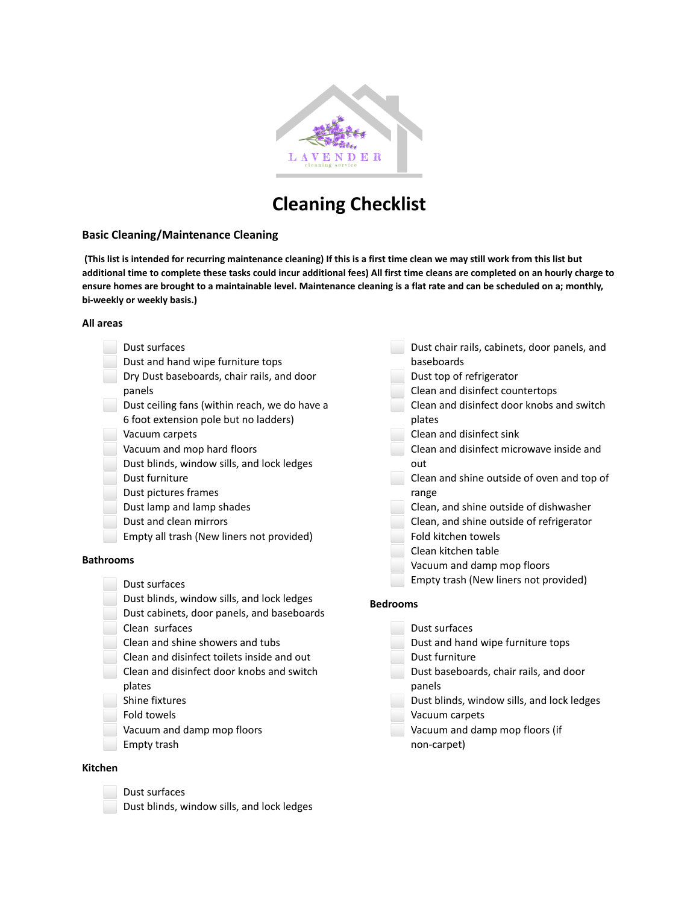

# **Cleaning Checklist**

#### **Basic Cleaning/Maintenance Cleaning**

**(This list is intended for recurring maintenance cleaning) If this is a first time clean we may still work from this list but additional time to complete these tasks could incur additional fees) All first time cleans are completed on an hourly charge to ensure homes are brought to a maintainable level. Maintenance cleaning is a flat rate and can be scheduled on a; monthly, bi-weekly or weekly basis.)**

#### **All areas**

| Dust surfaces<br>Dust and hand wipe furniture tops<br>Dry Dust baseboards, chair rails, and door<br>panels<br>Dust ceiling fans (within reach, we do have a<br>6 foot extension pole but no ladders)<br>Vacuum carpets<br>Vacuum and mop hard floors<br>Dust blinds, window sills, and lock ledges<br>Dust furniture<br>Dust pictures frames<br>Dust lamp and lamp shades<br>Dust and clean mirrors<br>Empty all trash (New liners not provided)<br><b>Bathrooms</b><br>Dust surfaces<br>Dust blinds, window sills, and lock ledges<br>Dust cabinets, door panels, and baseboards<br>Clean surfaces<br>Clean and shine showers and tubs<br>Clean and disinfect toilets inside and out<br>Clean and disinfect door knobs and switch<br>plates<br>Shine fixtures<br>Fold towels<br>Vacuum and damp mop floors<br>Empty trash | out<br><b>Bedrooms</b> | Dust chair rails, cabinets, door panels, and<br>baseboards<br>Dust top of refrigerator<br>Clean and disinfect countertops<br>Clean and disinfect door knobs and switch<br>plates<br>Clean and disinfect sink<br>Clean and disinfect microwave inside and<br>Clean and shine outside of oven and top of<br>range<br>Clean, and shine outside of dishwasher<br>Clean, and shine outside of refrigerator<br>Fold kitchen towels<br>Clean kitchen table<br>Vacuum and damp mop floors<br>Empty trash (New liners not provided)<br>Dust surfaces<br>Dust and hand wipe furniture tops<br>Dust furniture<br>Dust baseboards, chair rails, and door<br>panels<br>Dust blinds, window sills, and lock ledges<br>Vacuum carpets<br>Vacuum and damp mop floors (if<br>non-carpet) |
|----------------------------------------------------------------------------------------------------------------------------------------------------------------------------------------------------------------------------------------------------------------------------------------------------------------------------------------------------------------------------------------------------------------------------------------------------------------------------------------------------------------------------------------------------------------------------------------------------------------------------------------------------------------------------------------------------------------------------------------------------------------------------------------------------------------------------|------------------------|-------------------------------------------------------------------------------------------------------------------------------------------------------------------------------------------------------------------------------------------------------------------------------------------------------------------------------------------------------------------------------------------------------------------------------------------------------------------------------------------------------------------------------------------------------------------------------------------------------------------------------------------------------------------------------------------------------------------------------------------------------------------------|
| <b>Kitchen</b>                                                                                                                                                                                                                                                                                                                                                                                                                                                                                                                                                                                                                                                                                                                                                                                                             |                        |                                                                                                                                                                                                                                                                                                                                                                                                                                                                                                                                                                                                                                                                                                                                                                         |

- ⬜ Dust surfaces
- ⬜ Dust blinds, window sills, and lock ledges